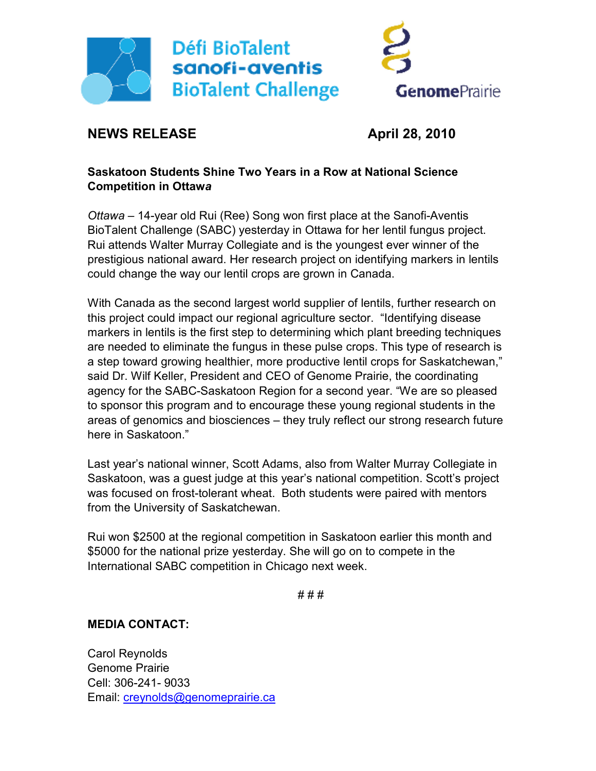



# **NEWS RELEASE April 28, 2010**

## **Saskatoon Students Shine Two Years in a Row at National Science Competition in Ottaw***a*

*Ottawa* – 14-year old Rui (Ree) Song won first place at the Sanofi-Aventis BioTalent Challenge (SABC) yesterday in Ottawa for her lentil fungus project. Rui attends Walter Murray Collegiate and is the youngest ever winner of the prestigious national award. Her research project on identifying markers in lentils could change the way our lentil crops are grown in Canada.

With Canada as the second largest world supplier of lentils, further research on this project could impact our regional agriculture sector. "Identifying disease markers in lentils is the first step to determining which plant breeding techniques are needed to eliminate the fungus in these pulse crops. This type of research is a step toward growing healthier, more productive lentil crops for Saskatchewan," said Dr. Wilf Keller, President and CEO of Genome Prairie, the coordinating agency for the SABC-Saskatoon Region for a second year. "We are so pleased to sponsor this program and to encourage these young regional students in the areas of genomics and biosciences – they truly reflect our strong research future here in Saskatoon."

Last year's national winner, Scott Adams, also from Walter Murray Collegiate in Saskatoon, was a guest judge at this year's national competition. Scott's project was focused on frost-tolerant wheat. Both students were paired with mentors from the University of Saskatchewan.

Rui won \$2500 at the regional competition in Saskatoon earlier this month and \$5000 for the national prize yesterday. She will go on to compete in the International SABC competition in Chicago next week.

# # #

#### **MEDIA CONTACT:**

Carol Reynolds Genome Prairie Cell: 306-241- 9033 Email: creynolds@genomeprairie.ca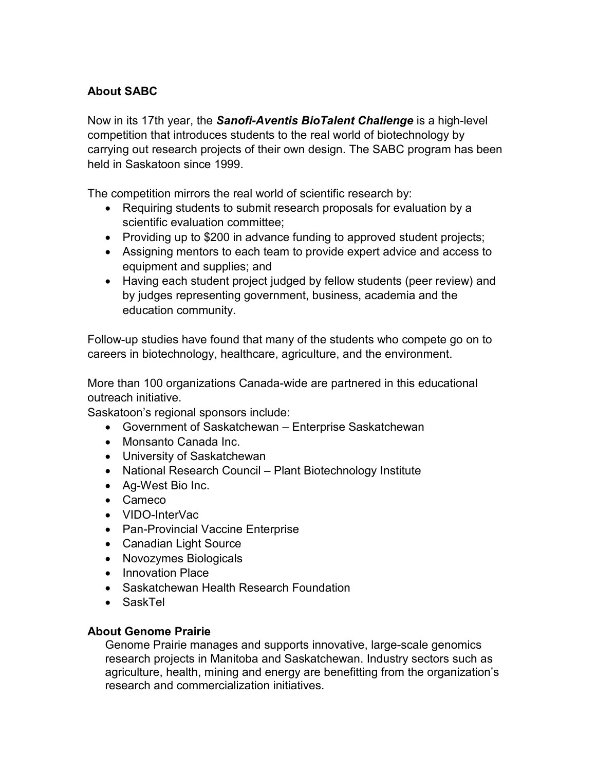## **About SABC**

Now in its 17th year, the *Sanofi-Aventis BioTalent Challenge* is a high-level competition that introduces students to the real world of biotechnology by carrying out research projects of their own design. The SABC program has been held in Saskatoon since 1999.

The competition mirrors the real world of scientific research by:

- Requiring students to submit research proposals for evaluation by a scientific evaluation committee;
- Providing up to \$200 in advance funding to approved student projects;
- Assigning mentors to each team to provide expert advice and access to equipment and supplies; and
- Having each student project judged by fellow students (peer review) and by judges representing government, business, academia and the education community.

Follow-up studies have found that many of the students who compete go on to careers in biotechnology, healthcare, agriculture, and the environment.

More than 100 organizations Canada-wide are partnered in this educational outreach initiative.

Saskatoon's regional sponsors include:

- Government of Saskatchewan Enterprise Saskatchewan
- Monsanto Canada Inc.
- University of Saskatchewan
- National Research Council Plant Biotechnology Institute
- Ag-West Bio Inc.
- Cameco
- VIDO-InterVac
- Pan-Provincial Vaccine Enterprise
- Canadian Light Source
- Novozymes Biologicals
- Innovation Place
- Saskatchewan Health Research Foundation
- SaskTel

#### **About Genome Prairie**

Genome Prairie manages and supports innovative, large-scale genomics research projects in Manitoba and Saskatchewan. Industry sectors such as agriculture, health, mining and energy are benefitting from the organization's research and commercialization initiatives.